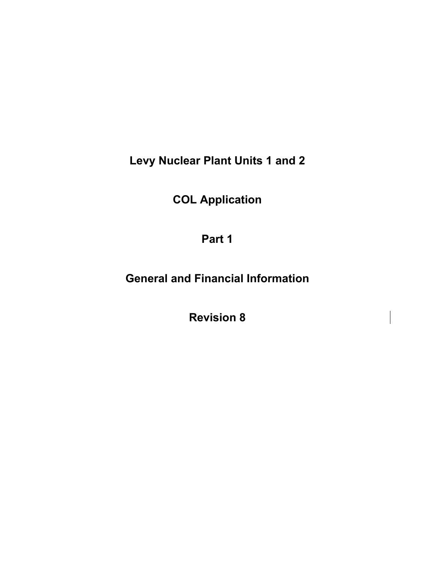**Levy Nuclear Plant Units 1 and 2** 

**COL Application** 

**Part 1** 

**General and Financial Information** 

**Revision 8**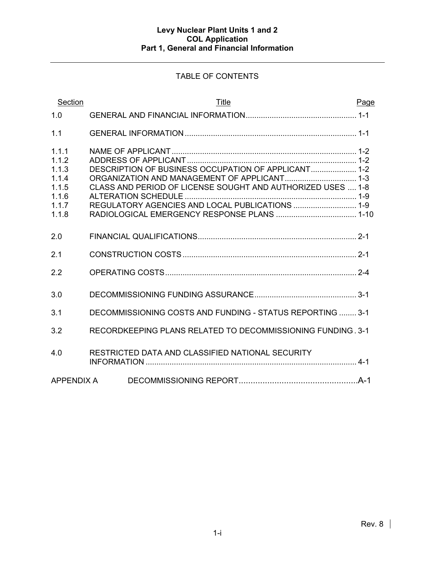# TABLE OF CONTENTS

| Section                                                              | Title                                                                                                                                                                 | Page |
|----------------------------------------------------------------------|-----------------------------------------------------------------------------------------------------------------------------------------------------------------------|------|
| 1.0                                                                  |                                                                                                                                                                       |      |
| 1.1                                                                  |                                                                                                                                                                       |      |
| 1.1.1<br>1.1.2<br>1.1.3<br>1.1.4<br>1.1.5<br>1.1.6<br>1.1.7<br>1.1.8 | DESCRIPTION OF BUSINESS OCCUPATION OF APPLICANT 1-2<br>CLASS AND PERIOD OF LICENSE SOUGHT AND AUTHORIZED USES  1-8<br>REGULATORY AGENCIES AND LOCAL PUBLICATIONS  1-9 |      |
| 2.0                                                                  |                                                                                                                                                                       |      |
| 2.1                                                                  |                                                                                                                                                                       |      |
| 2.2                                                                  |                                                                                                                                                                       |      |
| 3.0                                                                  |                                                                                                                                                                       |      |
| 3.1                                                                  | DECOMMISSIONING COSTS AND FUNDING - STATUS REPORTING  3-1                                                                                                             |      |
| 3.2                                                                  | RECORDKEEPING PLANS RELATED TO DECOMMISSIONING FUNDING, 3-1                                                                                                           |      |
| 4.0                                                                  | RESTRICTED DATA AND CLASSIFIED NATIONAL SECURITY                                                                                                                      |      |
| <b>APPENDIX A</b>                                                    |                                                                                                                                                                       |      |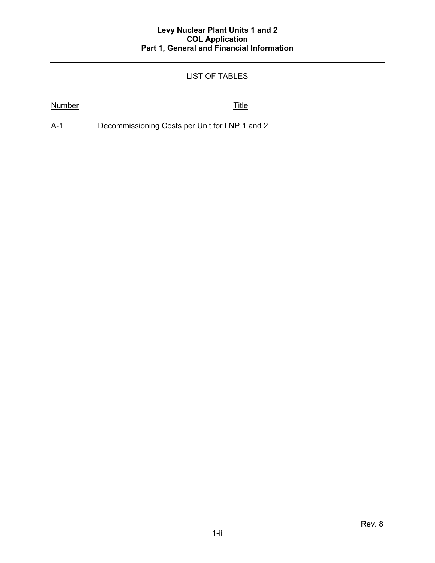# LIST OF TABLES

## Number Title

A-1 Decommissioning Costs per Unit for LNP 1 and 2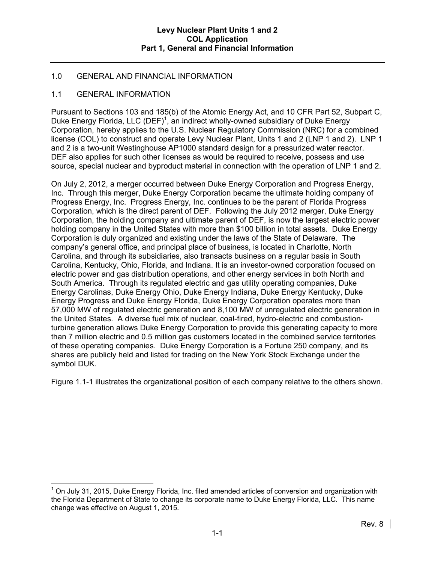# 1.0 GENERAL AND FINANCIAL INFORMATION

## 1.1 GENERAL INFORMATION

Pursuant to Sections 103 and 185(b) of the Atomic Energy Act, and 10 CFR Part 52, Subpart C, Duke Energy Florida, LLC (DEF)<sup>1</sup>, an indirect wholly-owned subsidiary of Duke Energy Corporation, hereby applies to the U.S. Nuclear Regulatory Commission (NRC) for a combined license (COL) to construct and operate Levy Nuclear Plant, Units 1 and 2 (LNP 1 and 2). LNP 1 and 2 is a two-unit Westinghouse AP1000 standard design for a pressurized water reactor. DEF also applies for such other licenses as would be required to receive, possess and use source, special nuclear and byproduct material in connection with the operation of LNP 1 and 2.

On July 2, 2012, a merger occurred between Duke Energy Corporation and Progress Energy, Inc. Through this merger, Duke Energy Corporation became the ultimate holding company of Progress Energy, Inc. Progress Energy, Inc. continues to be the parent of Florida Progress Corporation, which is the direct parent of DEF. Following the July 2012 merger, Duke Energy Corporation, the holding company and ultimate parent of DEF, is now the largest electric power holding company in the United States with more than \$100 billion in total assets. Duke Energy Corporation is duly organized and existing under the laws of the State of Delaware. The company's general office, and principal place of business, is located in Charlotte, North Carolina, and through its subsidiaries, also transacts business on a regular basis in South Carolina, Kentucky, Ohio, Florida, and Indiana. It is an investor-owned corporation focused on electric power and gas distribution operations, and other energy services in both North and South America. Through its regulated electric and gas utility operating companies, Duke Energy Carolinas, Duke Energy Ohio, Duke Energy Indiana, Duke Energy Kentucky, Duke Energy Progress and Duke Energy Florida, Duke Energy Corporation operates more than 57,000 MW of regulated electric generation and 8,100 MW of unregulated electric generation in the United States. A diverse fuel mix of nuclear, coal-fired, hydro-electric and combustionturbine generation allows Duke Energy Corporation to provide this generating capacity to more than 7 million electric and 0.5 million gas customers located in the combined service territories of these operating companies. Duke Energy Corporation is a Fortune 250 company, and its shares are publicly held and listed for trading on the New York Stock Exchange under the symbol DUK.

Figure 1.1-1 illustrates the organizational position of each company relative to the others shown.

 $\overline{a}$  $1$  On July 31, 2015, Duke Energy Florida, Inc. filed amended articles of conversion and organization with the Florida Department of State to change its corporate name to Duke Energy Florida, LLC. This name change was effective on August 1, 2015.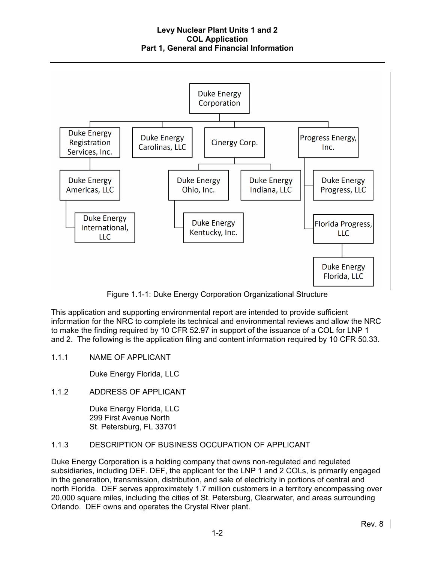

Figure 1.1-1: Duke Energy Corporation Organizational Structure

This application and supporting environmental report are intended to provide sufficient information for the NRC to complete its technical and environmental reviews and allow the NRC to make the finding required by 10 CFR 52.97 in support of the issuance of a COL for LNP 1 and 2. The following is the application filing and content information required by 10 CFR 50.33.

1.1.1 NAME OF APPLICANT

Duke Energy Florida, LLC

1.1.2 ADDRESS OF APPLICANT

Duke Energy Florida, LLC 299 First Avenue North St. Petersburg, FL 33701

# 1.1.3 DESCRIPTION OF BUSINESS OCCUPATION OF APPLICANT

Duke Energy Corporation is a holding company that owns non-regulated and regulated subsidiaries, including DEF. DEF, the applicant for the LNP 1 and 2 COLs, is primarily engaged in the generation, transmission, distribution, and sale of electricity in portions of central and north Florida. DEF serves approximately 1.7 million customers in a territory encompassing over 20,000 square miles, including the cities of St. Petersburg, Clearwater, and areas surrounding Orlando. DEF owns and operates the Crystal River plant.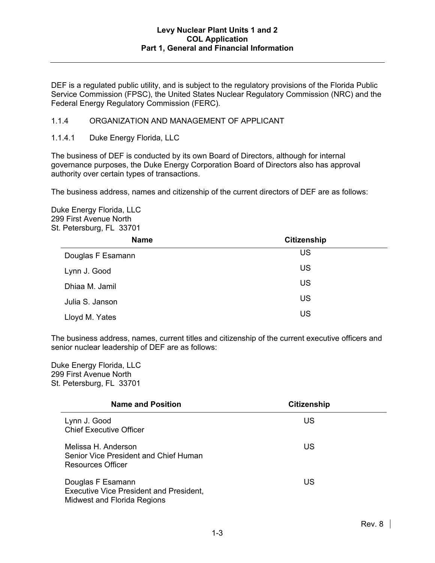DEF is a regulated public utility, and is subject to the regulatory provisions of the Florida Public Service Commission (FPSC), the United States Nuclear Regulatory Commission (NRC) and the Federal Energy Regulatory Commission (FERC).

### 1.1.4 ORGANIZATION AND MANAGEMENT OF APPLICANT

#### 1.1.4.1 Duke Energy Florida, LLC

The business of DEF is conducted by its own Board of Directors, although for internal governance purposes, the Duke Energy Corporation Board of Directors also has approval authority over certain types of transactions.

The business address, names and citizenship of the current directors of DEF are as follows:

Duke Energy Florida, LLC 299 First Avenue North St. Petersburg, FL 33701

| <b>Name</b>       | <b>Citizenship</b> |
|-------------------|--------------------|
| Douglas F Esamann | US                 |
| Lynn J. Good      | US                 |
| Dhiaa M. Jamil    | US                 |
| Julia S. Janson   | US                 |
| Lloyd M. Yates    | US                 |

The business address, names, current titles and citizenship of the current executive officers and senior nuclear leadership of DEF are as follows:

Duke Energy Florida, LLC 299 First Avenue North St. Petersburg, FL 33701

| <b>Name and Position</b>                                                                           | <b>Citizenship</b> |
|----------------------------------------------------------------------------------------------------|--------------------|
| Lynn J. Good<br><b>Chief Executive Officer</b>                                                     | US                 |
| Melissa H. Anderson<br>Senior Vice President and Chief Human<br>Resources Officer                  | US                 |
| Douglas F Esamann<br><b>Executive Vice President and President,</b><br>Midwest and Florida Regions | US                 |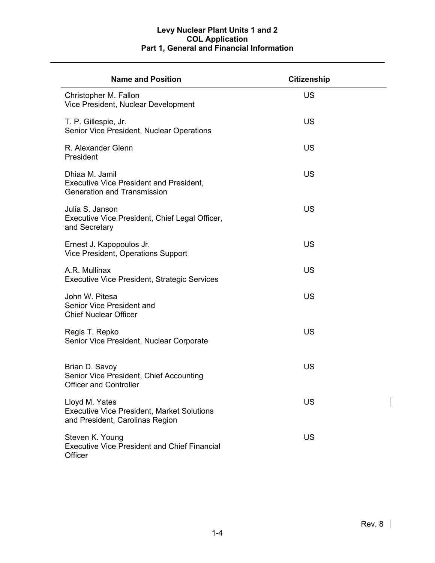| <b>Name and Position</b>                                                                               | <b>Citizenship</b> |
|--------------------------------------------------------------------------------------------------------|--------------------|
| Christopher M. Fallon<br>Vice President, Nuclear Development                                           | US                 |
| T. P. Gillespie, Jr.<br>Senior Vice President, Nuclear Operations                                      | <b>US</b>          |
| R. Alexander Glenn<br>President                                                                        | <b>US</b>          |
| Dhiaa M. Jamil<br><b>Executive Vice President and President,</b><br><b>Generation and Transmission</b> | <b>US</b>          |
| Julia S. Janson<br>Executive Vice President, Chief Legal Officer,<br>and Secretary                     | <b>US</b>          |
| Ernest J. Kapopoulos Jr.<br>Vice President, Operations Support                                         | <b>US</b>          |
| A.R. Mullinax<br><b>Executive Vice President, Strategic Services</b>                                   | <b>US</b>          |
| John W. Pitesa<br>Senior Vice President and<br><b>Chief Nuclear Officer</b>                            | <b>US</b>          |
| Regis T. Repko<br>Senior Vice President, Nuclear Corporate                                             | <b>US</b>          |
| Brian D. Savoy<br>Senior Vice President, Chief Accounting<br><b>Officer and Controller</b>             | <b>US</b>          |
| Lloyd M. Yates<br><b>Executive Vice President, Market Solutions</b><br>and President, Carolinas Region | US                 |
| Steven K. Young<br><b>Executive Vice President and Chief Financial</b><br>Officer                      | US                 |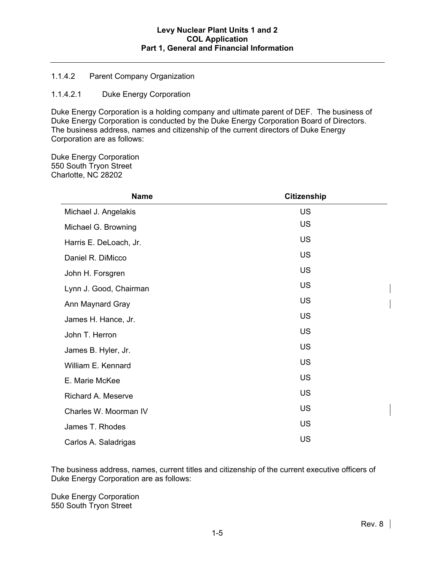## 1.1.4.2 Parent Company Organization

## 1.1.4.2.1 Duke Energy Corporation

Duke Energy Corporation is a holding company and ultimate parent of DEF. The business of Duke Energy Corporation is conducted by the Duke Energy Corporation Board of Directors. The business address, names and citizenship of the current directors of Duke Energy Corporation are as follows:

Duke Energy Corporation 550 South Tryon Street Charlotte, NC 28202

| <b>Name</b>            | <b>Citizenship</b> |
|------------------------|--------------------|
| Michael J. Angelakis   | <b>US</b>          |
| Michael G. Browning    | <b>US</b>          |
| Harris E. DeLoach, Jr. | <b>US</b>          |
| Daniel R. DiMicco      | <b>US</b>          |
| John H. Forsgren       | <b>US</b>          |
| Lynn J. Good, Chairman | <b>US</b>          |
| Ann Maynard Gray       | <b>US</b>          |
| James H. Hance, Jr.    | <b>US</b>          |
| John T. Herron         | <b>US</b>          |
| James B. Hyler, Jr.    | <b>US</b>          |
| William E. Kennard     | <b>US</b>          |
| E. Marie McKee         | <b>US</b>          |
| Richard A. Meserve     | <b>US</b>          |
| Charles W. Moorman IV  | <b>US</b>          |
| James T. Rhodes        | <b>US</b>          |
| Carlos A. Saladrigas   | <b>US</b>          |

The business address, names, current titles and citizenship of the current executive officers of Duke Energy Corporation are as follows:

Duke Energy Corporation 550 South Tryon Street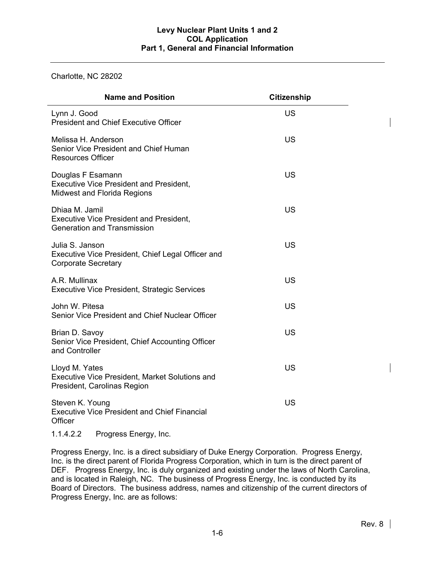## Charlotte, NC 28202

| <b>Name and Position</b>                                                                                  | <b>Citizenship</b> |  |
|-----------------------------------------------------------------------------------------------------------|--------------------|--|
| Lynn J. Good<br><b>President and Chief Executive Officer</b>                                              | <b>US</b>          |  |
| Melissa H. Anderson<br>Senior Vice President and Chief Human<br><b>Resources Officer</b>                  | <b>US</b>          |  |
| Douglas F Esamann<br><b>Executive Vice President and President,</b><br><b>Midwest and Florida Regions</b> | <b>US</b>          |  |
| Dhiaa M. Jamil<br><b>Executive Vice President and President,</b><br><b>Generation and Transmission</b>    | <b>US</b>          |  |
| Julia S. Janson<br>Executive Vice President, Chief Legal Officer and<br><b>Corporate Secretary</b>        | <b>US</b>          |  |
| A.R. Mullinax<br><b>Executive Vice President, Strategic Services</b>                                      | <b>US</b>          |  |
| John W. Pitesa<br>Senior Vice President and Chief Nuclear Officer                                         | <b>US</b>          |  |
| Brian D. Savoy<br>Senior Vice President, Chief Accounting Officer<br>and Controller                       | <b>US</b>          |  |
| Lloyd M. Yates<br><b>Executive Vice President, Market Solutions and</b><br>President, Carolinas Region    | <b>US</b>          |  |
| Steven K. Young<br><b>Executive Vice President and Chief Financial</b><br>Officer                         | <b>US</b>          |  |

1.1.4.2.2 Progress Energy, Inc.

Progress Energy, Inc. is a direct subsidiary of Duke Energy Corporation. Progress Energy, Inc. is the direct parent of Florida Progress Corporation, which in turn is the direct parent of DEF. Progress Energy, Inc. is duly organized and existing under the laws of North Carolina, and is located in Raleigh, NC. The business of Progress Energy, Inc. is conducted by its Board of Directors. The business address, names and citizenship of the current directors of Progress Energy, Inc. are as follows: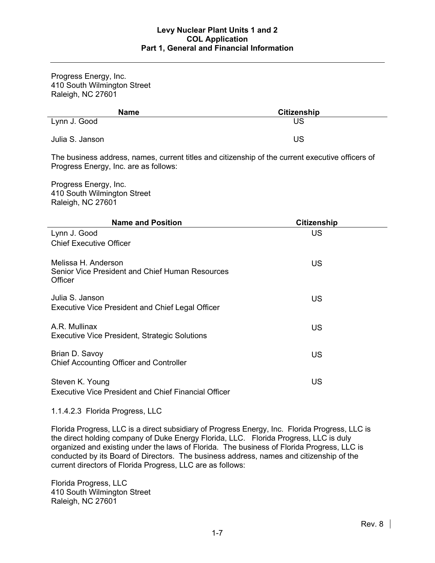Progress Energy, Inc. 410 South Wilmington Street Raleigh, NC 27601

| <b>Name</b>     | <b>Citizenship</b> |
|-----------------|--------------------|
| Lynn J. Good    | US                 |
| Julia S. Janson | US                 |

The business address, names, current titles and citizenship of the current executive officers of Progress Energy, Inc. are as follows:

Progress Energy, Inc. 410 South Wilmington Street Raleigh, NC 27601

| <b>Name and Position</b>                                                          | <b>Citizenship</b> |
|-----------------------------------------------------------------------------------|--------------------|
| Lynn J. Good                                                                      | US                 |
| <b>Chief Executive Officer</b>                                                    |                    |
| Melissa H. Anderson<br>Senior Vice President and Chief Human Resources<br>Officer | US                 |
| Julia S. Janson<br><b>Executive Vice President and Chief Legal Officer</b>        | US                 |
| A.R. Mullinax<br><b>Executive Vice President, Strategic Solutions</b>             | <b>US</b>          |
| Brian D. Savoy<br>Chief Accounting Officer and Controller                         | <b>US</b>          |
| Steven K. Young<br><b>Executive Vice President and Chief Financial Officer</b>    | US                 |

1.1.4.2.3 Florida Progress, LLC

Florida Progress, LLC is a direct subsidiary of Progress Energy, Inc. Florida Progress, LLC is the direct holding company of Duke Energy Florida, LLC. Florida Progress, LLC is duly organized and existing under the laws of Florida. The business of Florida Progress, LLC is conducted by its Board of Directors. The business address, names and citizenship of the current directors of Florida Progress, LLC are as follows:

Florida Progress, LLC 410 South Wilmington Street Raleigh, NC 27601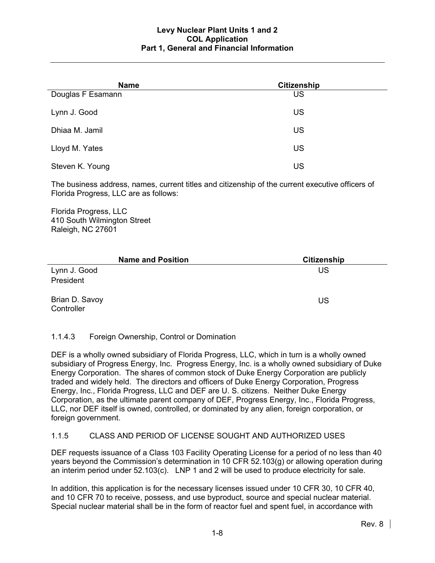| <b>Name</b>       | <b>Citizenship</b> |  |
|-------------------|--------------------|--|
| Douglas F Esamann | <b>US</b>          |  |
| Lynn J. Good      | <b>US</b>          |  |
| Dhiaa M. Jamil    | <b>US</b>          |  |
| Lloyd M. Yates    | <b>US</b>          |  |
| Steven K. Young   | US                 |  |

The business address, names, current titles and citizenship of the current executive officers of Florida Progress, LLC are as follows:

Florida Progress, LLC 410 South Wilmington Street Raleigh, NC 27601

| <b>Name and Position</b>     | <b>Citizenship</b> |
|------------------------------|--------------------|
| Lynn J. Good                 | US                 |
| President                    |                    |
| Brian D. Savoy<br>Controller | US                 |

## 1.1.4.3 Foreign Ownership, Control or Domination

DEF is a wholly owned subsidiary of Florida Progress, LLC, which in turn is a wholly owned subsidiary of Progress Energy, Inc. Progress Energy, Inc. is a wholly owned subsidiary of Duke Energy Corporation. The shares of common stock of Duke Energy Corporation are publicly traded and widely held. The directors and officers of Duke Energy Corporation, Progress Energy, Inc., Florida Progress, LLC and DEF are U. S. citizens. Neither Duke Energy Corporation, as the ultimate parent company of DEF, Progress Energy, Inc., Florida Progress, LLC, nor DEF itself is owned, controlled, or dominated by any alien, foreign corporation, or foreign government.

## 1.1.5 CLASS AND PERIOD OF LICENSE SOUGHT AND AUTHORIZED USES

DEF requests issuance of a Class 103 Facility Operating License for a period of no less than 40 years beyond the Commission's determination in 10 CFR 52.103(g) or allowing operation during an interim period under 52.103(c). LNP 1 and 2 will be used to produce electricity for sale.

In addition, this application is for the necessary licenses issued under 10 CFR 30, 10 CFR 40, and 10 CFR 70 to receive, possess, and use byproduct, source and special nuclear material. Special nuclear material shall be in the form of reactor fuel and spent fuel, in accordance with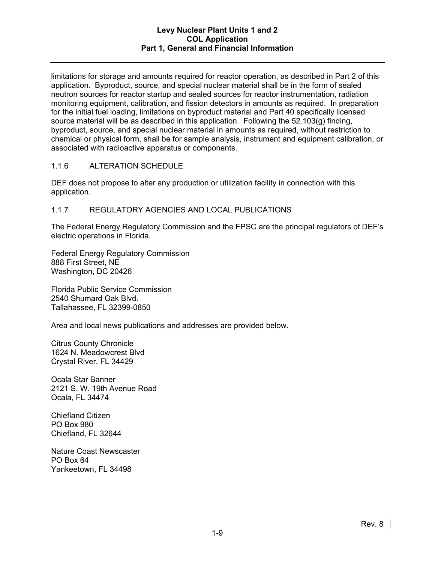limitations for storage and amounts required for reactor operation, as described in Part 2 of this application. Byproduct, source, and special nuclear material shall be in the form of sealed neutron sources for reactor startup and sealed sources for reactor instrumentation, radiation monitoring equipment, calibration, and fission detectors in amounts as required. In preparation for the initial fuel loading, limitations on byproduct material and Part 40 specifically licensed source material will be as described in this application. Following the 52.103(g) finding, byproduct, source, and special nuclear material in amounts as required, without restriction to chemical or physical form, shall be for sample analysis, instrument and equipment calibration, or associated with radioactive apparatus or components.

# 1.1.6 ALTERATION SCHEDULE

DEF does not propose to alter any production or utilization facility in connection with this application.

## 1.1.7 REGULATORY AGENCIES AND LOCAL PUBLICATIONS

The Federal Energy Regulatory Commission and the FPSC are the principal regulators of DEF's electric operations in Florida.

Federal Energy Regulatory Commission 888 First Street, NE Washington, DC 20426

Florida Public Service Commission 2540 Shumard Oak Blvd. Tallahassee, FL 32399-0850

Area and local news publications and addresses are provided below.

Citrus County Chronicle 1624 N. Meadowcrest Blvd Crystal River, FL 34429

Ocala Star Banner 2121 S. W. 19th Avenue Road Ocala, FL 34474

Chiefland Citizen PO Box 980 Chiefland, FL 32644

Nature Coast Newscaster PO Box 64 Yankeetown, FL 34498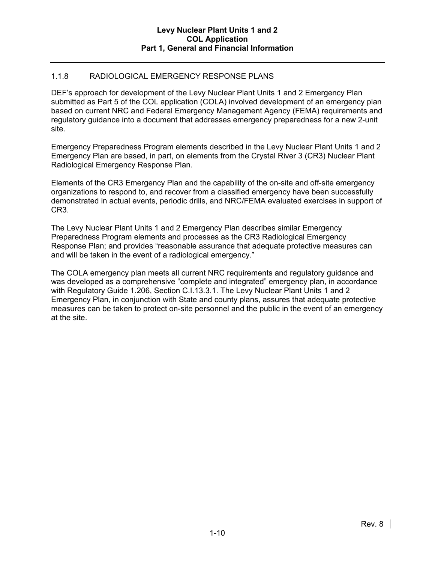# 1.1.8 RADIOLOGICAL EMERGENCY RESPONSE PLANS

DEF's approach for development of the Levy Nuclear Plant Units 1 and 2 Emergency Plan submitted as Part 5 of the COL application (COLA) involved development of an emergency plan based on current NRC and Federal Emergency Management Agency (FEMA) requirements and regulatory guidance into a document that addresses emergency preparedness for a new 2-unit site.

Emergency Preparedness Program elements described in the Levy Nuclear Plant Units 1 and 2 Emergency Plan are based, in part, on elements from the Crystal River 3 (CR3) Nuclear Plant Radiological Emergency Response Plan.

Elements of the CR3 Emergency Plan and the capability of the on-site and off-site emergency organizations to respond to, and recover from a classified emergency have been successfully demonstrated in actual events, periodic drills, and NRC/FEMA evaluated exercises in support of CR3.

The Levy Nuclear Plant Units 1 and 2 Emergency Plan describes similar Emergency Preparedness Program elements and processes as the CR3 Radiological Emergency Response Plan; and provides "reasonable assurance that adequate protective measures can and will be taken in the event of a radiological emergency."

The COLA emergency plan meets all current NRC requirements and regulatory guidance and was developed as a comprehensive "complete and integrated" emergency plan, in accordance with Regulatory Guide 1.206, Section C.I.13.3.1. The Levy Nuclear Plant Units 1 and 2 Emergency Plan, in conjunction with State and county plans, assures that adequate protective measures can be taken to protect on-site personnel and the public in the event of an emergency at the site.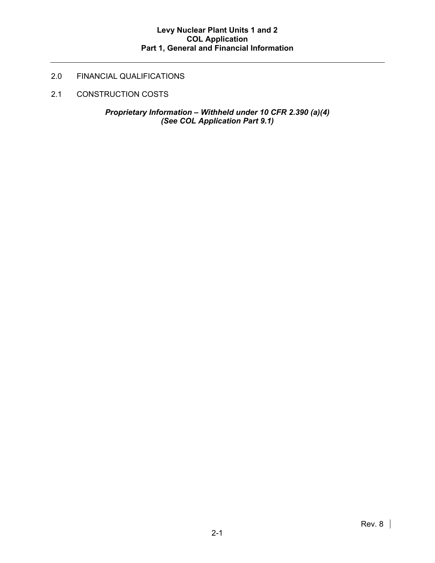# 2.0 FINANCIAL QUALIFICATIONS

2.1 CONSTRUCTION COSTS

*Proprietary Information – Withheld under 10 CFR 2.390 (a)(4) (See COL Application Part 9.1)*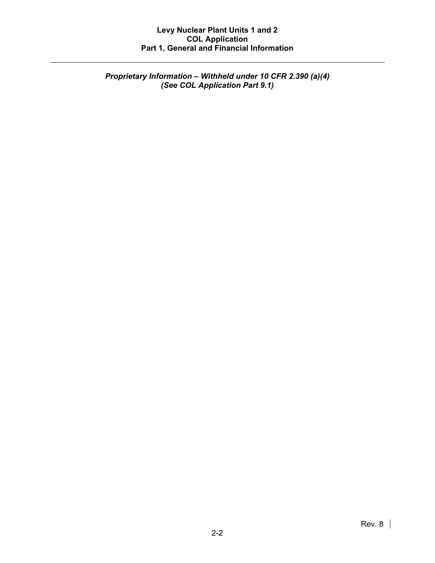*Proprietary Information – Withheld under 10 CFR 2.390 (a)(4) (See COL Application Part 9.1)*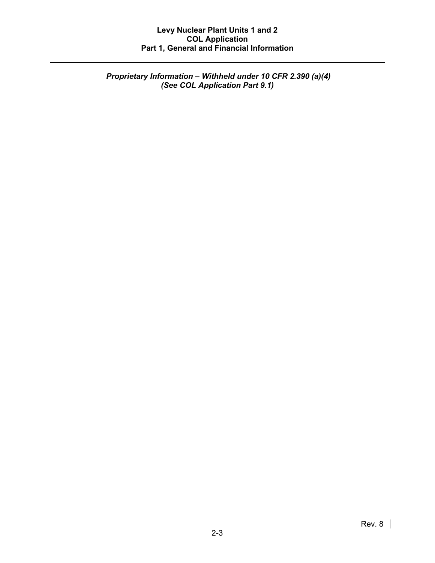*Proprietary Information – Withheld under 10 CFR 2.390 (a)(4) (See COL Application Part 9.1)*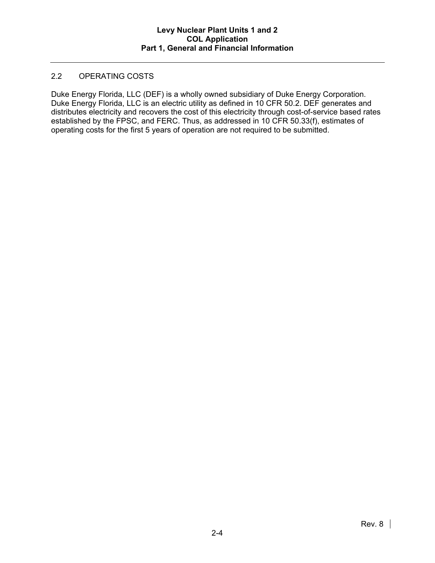## 2.2 OPERATING COSTS

Duke Energy Florida, LLC (DEF) is a wholly owned subsidiary of Duke Energy Corporation. Duke Energy Florida, LLC is an electric utility as defined in 10 CFR 50.2. DEF generates and distributes electricity and recovers the cost of this electricity through cost-of-service based rates established by the FPSC, and FERC. Thus, as addressed in 10 CFR 50.33(f), estimates of operating costs for the first 5 years of operation are not required to be submitted.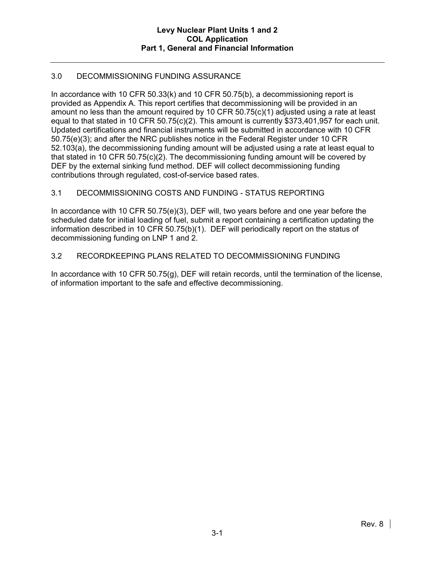# 3.0 DECOMMISSIONING FUNDING ASSURANCE

In accordance with 10 CFR 50.33(k) and 10 CFR 50.75(b), a decommissioning report is provided as Appendix A. This report certifies that decommissioning will be provided in an amount no less than the amount required by 10 CFR 50.75(c)(1) adjusted using a rate at least equal to that stated in 10 CFR 50.75(c)(2). This amount is currently \$373,401,957 for each unit. Updated certifications and financial instruments will be submitted in accordance with 10 CFR 50.75(e)(3); and after the NRC publishes notice in the Federal Register under 10 CFR 52.103(a), the decommissioning funding amount will be adjusted using a rate at least equal to that stated in 10 CFR 50.75(c)(2). The decommissioning funding amount will be covered by DEF by the external sinking fund method. DEF will collect decommissioning funding contributions through regulated, cost-of-service based rates.

# 3.1 DECOMMISSIONING COSTS AND FUNDING - STATUS REPORTING

In accordance with 10 CFR 50.75(e)(3), DEF will, two years before and one year before the scheduled date for initial loading of fuel, submit a report containing a certification updating the information described in 10 CFR 50.75(b)(1). DEF will periodically report on the status of decommissioning funding on LNP 1 and 2.

## 3.2 RECORDKEEPING PLANS RELATED TO DECOMMISSIONING FUNDING

In accordance with 10 CFR 50.75(g), DEF will retain records, until the termination of the license, of information important to the safe and effective decommissioning.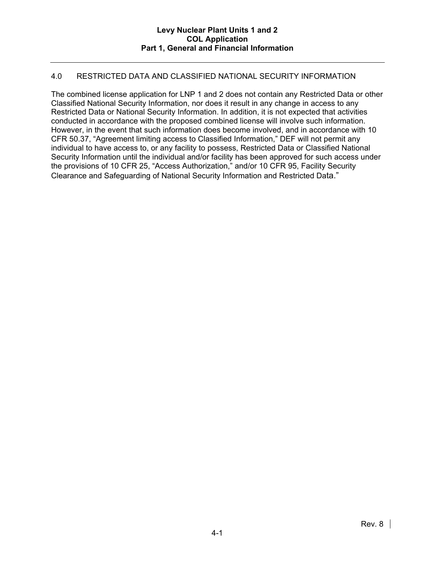## 4.0 RESTRICTED DATA AND CLASSIFIED NATIONAL SECURITY INFORMATION

The combined license application for LNP 1 and 2 does not contain any Restricted Data or other Classified National Security Information, nor does it result in any change in access to any Restricted Data or National Security Information. In addition, it is not expected that activities conducted in accordance with the proposed combined license will involve such information. However, in the event that such information does become involved, and in accordance with 10 CFR 50.37, "Agreement limiting access to Classified Information," DEF will not permit any individual to have access to, or any facility to possess, Restricted Data or Classified National Security Information until the individual and/or facility has been approved for such access under the provisions of 10 CFR 25, "Access Authorization," and/or 10 CFR 95, Facility Security Clearance and Safeguarding of National Security Information and Restricted Data."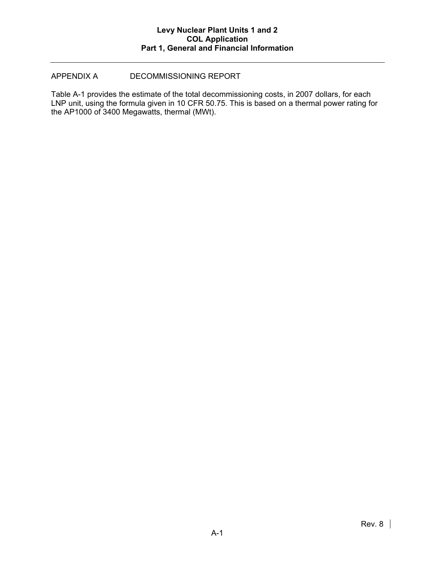## APPENDIX A DECOMMISSIONING REPORT

Table A-1 provides the estimate of the total decommissioning costs, in 2007 dollars, for each LNP unit, using the formula given in 10 CFR 50.75. This is based on a thermal power rating for the AP1000 of 3400 Megawatts, thermal (MWt).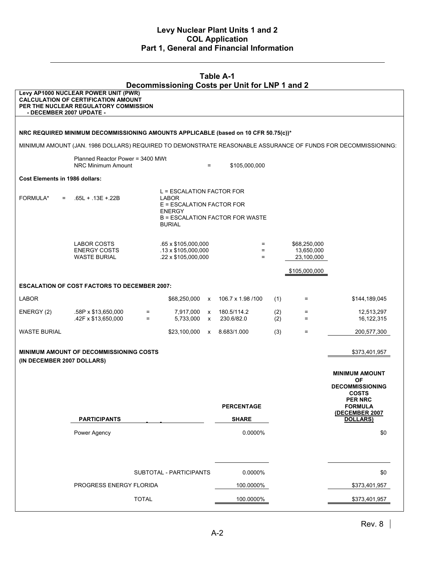| <b>Table A-1</b><br>Decommissioning Costs per Unit for LNP 1 and 2 |                                                                                                                             |              |                                                                                                   |                                           |                                 |            |                                          |                                                                                                               |
|--------------------------------------------------------------------|-----------------------------------------------------------------------------------------------------------------------------|--------------|---------------------------------------------------------------------------------------------------|-------------------------------------------|---------------------------------|------------|------------------------------------------|---------------------------------------------------------------------------------------------------------------|
| - DECEMBER 2007 UPDATE -                                           | Levy AP1000 NUCLEAR POWER UNIT (PWR)<br><b>CALCULATION OF CERTIFICATION AMOUNT</b><br>PER THE NUCLEAR REGULATORY COMMISSION |              |                                                                                                   |                                           |                                 |            |                                          |                                                                                                               |
|                                                                    |                                                                                                                             |              |                                                                                                   |                                           |                                 |            |                                          |                                                                                                               |
|                                                                    | NRC REQUIRED MINIMUM DECOMMISSIONING AMOUNTS APPLICABLE (based on 10 CFR 50.75(c))*                                         |              |                                                                                                   |                                           |                                 |            |                                          |                                                                                                               |
|                                                                    |                                                                                                                             |              |                                                                                                   |                                           |                                 |            |                                          | MINIMUM AMOUNT (JAN. 1986 DOLLARS) REQUIRED TO DEMONSTRATE REASONABLE ASSURANCE OF FUNDS FOR DECOMMISSIONING: |
|                                                                    | Planned Reactor Power = 3400 MWt<br>NRC Minimum Amount                                                                      |              |                                                                                                   | $=$                                       | \$105,000,000                   |            |                                          |                                                                                                               |
| Cost Elements in 1986 dollars:                                     |                                                                                                                             |              |                                                                                                   |                                           |                                 |            |                                          |                                                                                                               |
| FORMULA*<br>$=$                                                    | $.65L + .13E + .22B$                                                                                                        |              | L = ESCALATION FACTOR FOR<br>LABOR<br>E = ESCALATION FACTOR FOR<br><b>ENERGY</b><br><b>BURIAL</b> |                                           | B = ESCALATION FACTOR FOR WASTE |            |                                          |                                                                                                               |
|                                                                    | LABOR COSTS<br><b>ENERGY COSTS</b><br><b>WASTE BURIAL</b>                                                                   |              | .65 x \$105,000,000<br>$.13 \times $105,000,000$<br>.22 x \$105,000,000                           |                                           | $=$<br>$=$<br>$=$               |            | \$68,250,000<br>13,650,000<br>23,100,000 |                                                                                                               |
|                                                                    |                                                                                                                             |              |                                                                                                   |                                           |                                 |            | \$105,000,000                            |                                                                                                               |
|                                                                    | <b>ESCALATION OF COST FACTORS TO DECEMBER 2007:</b>                                                                         |              |                                                                                                   |                                           |                                 |            |                                          |                                                                                                               |
| <b>LABOR</b>                                                       |                                                                                                                             |              | \$68,250,000 x                                                                                    |                                           | 106.7 x 1.98 /100               | (1)        | Ξ.                                       | \$144,189,045                                                                                                 |
| ENERGY (2)                                                         | .58P x \$13,650,000<br>.42F x \$13,650,000                                                                                  | $=$<br>$=$   | 7,917,000<br>5,733,000                                                                            | $\boldsymbol{\mathsf{x}}$<br>$\mathsf{x}$ | 180.5/114.2<br>230.6/82.0       | (2)<br>(2) | $=$<br>$=$                               | 12,513,297<br>16,122,315                                                                                      |
| WASTE BURIAL                                                       |                                                                                                                             |              | \$23,100,000                                                                                      |                                           | x 8.683/1.000                   | (3)        | Ξ.                                       | 200,577,300                                                                                                   |
| (IN DECEMBER 2007 DOLLARS)                                         | <b>MINIMUM AMOUNT OF DECOMMISSIONING COSTS</b>                                                                              |              |                                                                                                   |                                           |                                 |            |                                          | \$373,401,957                                                                                                 |
|                                                                    |                                                                                                                             |              |                                                                                                   |                                           |                                 |            |                                          | <b>MINIMUM AMOUNT</b><br><b>OF</b>                                                                            |
|                                                                    |                                                                                                                             |              |                                                                                                   |                                           |                                 |            |                                          | <b>DECOMMISSIONING</b><br><b>COSTS</b>                                                                        |
|                                                                    |                                                                                                                             |              |                                                                                                   |                                           | <b>PERCENTAGE</b>               |            |                                          | <b>PER NRC</b><br><b>FORMULA</b>                                                                              |
|                                                                    | <b>PARTICIPANTS</b>                                                                                                         |              |                                                                                                   |                                           | <b>SHARE</b>                    |            |                                          | (DECEMBER 2007<br><b>DOLLARS)</b>                                                                             |
|                                                                    | Power Agency                                                                                                                |              |                                                                                                   |                                           | 0.0000%                         |            |                                          | \$0                                                                                                           |
|                                                                    |                                                                                                                             |              | SUBTOTAL - PARTICIPANTS                                                                           |                                           | 0.0000%                         |            |                                          | \$0                                                                                                           |
|                                                                    | PROGRESS ENERGY FLORIDA                                                                                                     |              |                                                                                                   |                                           | 100.0000%                       |            |                                          | \$373,401,957                                                                                                 |
|                                                                    |                                                                                                                             | <b>TOTAL</b> |                                                                                                   |                                           | 100.0000%                       |            |                                          | \$373,401,957                                                                                                 |